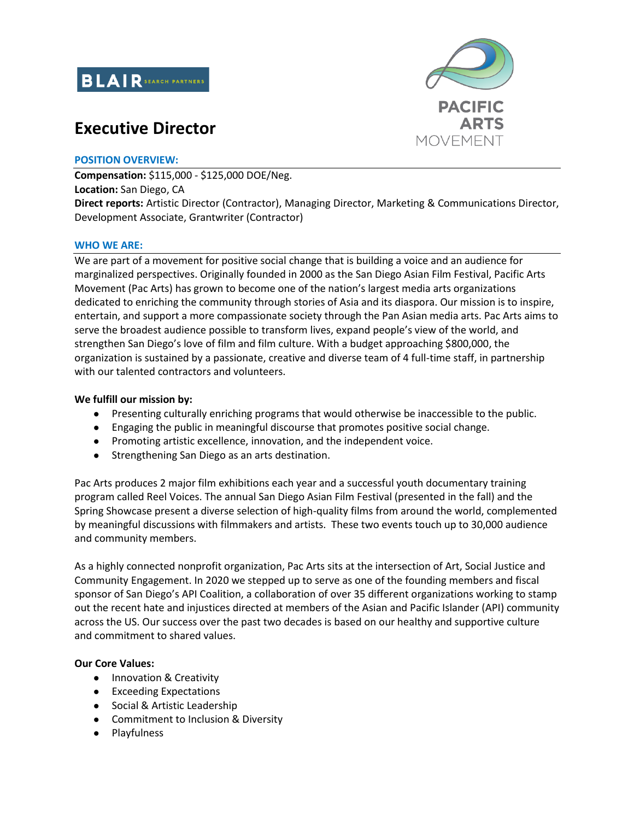

# **Executive Director**



#### **POSITION OVERVIEW:**

**Compensation:** \$115,000 - \$125,000 DOE/Neg. **Location:** San Diego, CA **Direct reports:** Artistic Director (Contractor), Managing Director, Marketing & Communications Director, Development Associate, Grantwriter (Contractor)

#### **WHO WE ARE:**

We are part of a movement for positive social change that is building a voice and an audience for marginalized perspectives. Originally founded in 2000 as the San Diego Asian Film Festival, Pacific Arts Movement (Pac Arts) has grown to become one of the nation's largest media arts organizations dedicated to enriching the community through stories of Asia and its diaspora. Our mission is to inspire, entertain, and support a more compassionate society through the Pan Asian media arts. Pac Arts aims to serve the broadest audience possible to transform lives, expand people's view of the world, and strengthen San Diego's love of film and film culture. With a budget approaching \$800,000, the organization is sustained by a passionate, creative and diverse team of 4 full-time staff, in partnership with our talented contractors and volunteers.

#### **We fulfill our mission by:**

- Presenting culturally enriching programs that would otherwise be inaccessible to the public.
- Engaging the public in meaningful discourse that promotes positive social change.
- Promoting artistic excellence, innovation, and the independent voice.
- Strengthening San Diego as an arts destination.

Pac Arts produces 2 major film exhibitions each year and a successful youth documentary training program called Reel Voices. The annual San Diego Asian Film Festival (presented in the fall) and the Spring Showcase present a diverse selection of high-quality films from around the world, complemented by meaningful discussions with filmmakers and artists. These two events touch up to 30,000 audience and community members.

As a highly connected nonprofit organization, Pac Arts sits at the intersection of Art, Social Justice and Community Engagement. In 2020 we stepped up to serve as one of the founding members and fiscal sponsor of San Diego's API Coalition, a collaboration of over 35 different organizations working to stamp out the recent hate and injustices directed at members of the Asian and Pacific Islander (API) community across the US. Our success over the past two decades is based on our healthy and supportive culture and commitment to shared values.

#### **Our Core Values:**

- Innovation & Creativity
- Exceeding Expectations
- Social & Artistic Leadership
- Commitment to Inclusion & Diversity
- Playfulness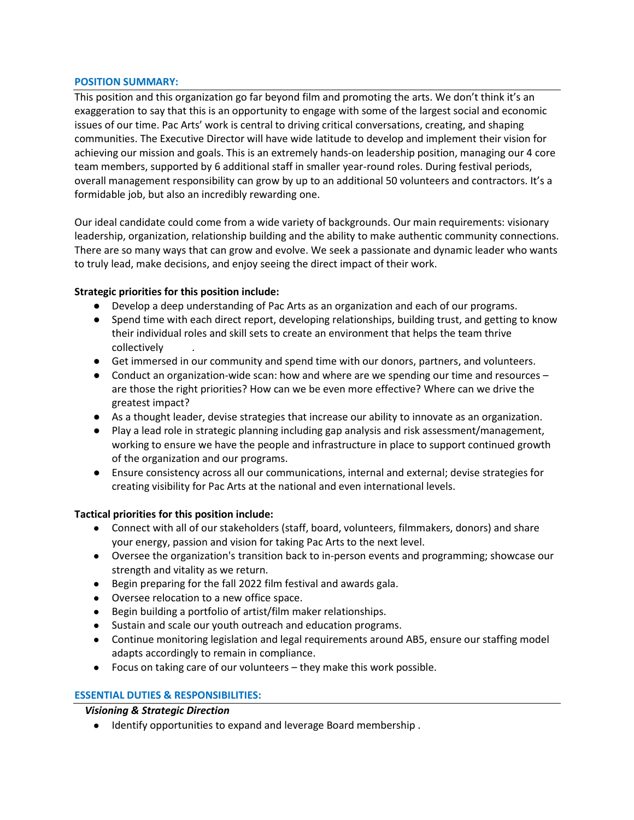#### **POSITION SUMMARY:**

This position and this organization go far beyond film and promoting the arts. We don't think it's an exaggeration to say that this is an opportunity to engage with some of the largest social and economic issues of our time. Pac Arts' work is central to driving critical conversations, creating, and shaping communities. The Executive Director will have wide latitude to develop and implement their vision for achieving our mission and goals. This is an extremely hands-on leadership position, managing our 4 core team members, supported by 6 additional staff in smaller year-round roles. During festival periods, overall management responsibility can grow by up to an additional 50 volunteers and contractors. It's a formidable job, but also an incredibly rewarding one.

Our ideal candidate could come from a wide variety of backgrounds. Our main requirements: visionary leadership, organization, relationship building and the ability to make authentic community connections. There are so many ways that can grow and evolve. We seek a passionate and dynamic leader who wants to truly lead, make decisions, and enjoy seeing the direct impact of their work.

#### **Strategic priorities for this position include:**

- Develop a deep understanding of Pac Arts as an organization and each of our programs.
- Spend time with each direct report, developing relationships, building trust, and getting to know their individual roles and skill sets to create an environment that helps the team thrive collectively .
- Get immersed in our community and spend time with our donors, partners, and volunteers.
- Conduct an organization-wide scan: how and where are we spending our time and resources are those the right priorities? How can we be even more effective? Where can we drive the greatest impact?
- As a thought leader, devise strategies that increase our ability to innovate as an organization.
- Play a lead role in strategic planning including gap analysis and risk assessment/management, working to ensure we have the people and infrastructure in place to support continued growth of the organization and our programs.
- Ensure consistency across all our communications, internal and external; devise strategies for creating visibility for Pac Arts at the national and even international levels.

#### **Tactical priorities for this position include:**

- Connect with all of our stakeholders (staff, board, volunteers, filmmakers, donors) and share your energy, passion and vision for taking Pac Arts to the next level.
- Oversee the organization's transition back to in-person events and programming; showcase our strength and vitality as we return.
- Begin preparing for the fall 2022 film festival and awards gala.
- Oversee relocation to a new office space.
- Begin building a portfolio of artist/film maker relationships.
- Sustain and scale our youth outreach and education programs.
- Continue monitoring legislation and legal requirements around AB5, ensure our staffing model adapts accordingly to remain in compliance.
- Focus on taking care of our volunteers they make this work possible.

#### **ESSENTIAL DUTIES & RESPONSIBILITIES:**

#### *Visioning & Strategic Direction*

● Identify opportunities to expand and leverage Board membership .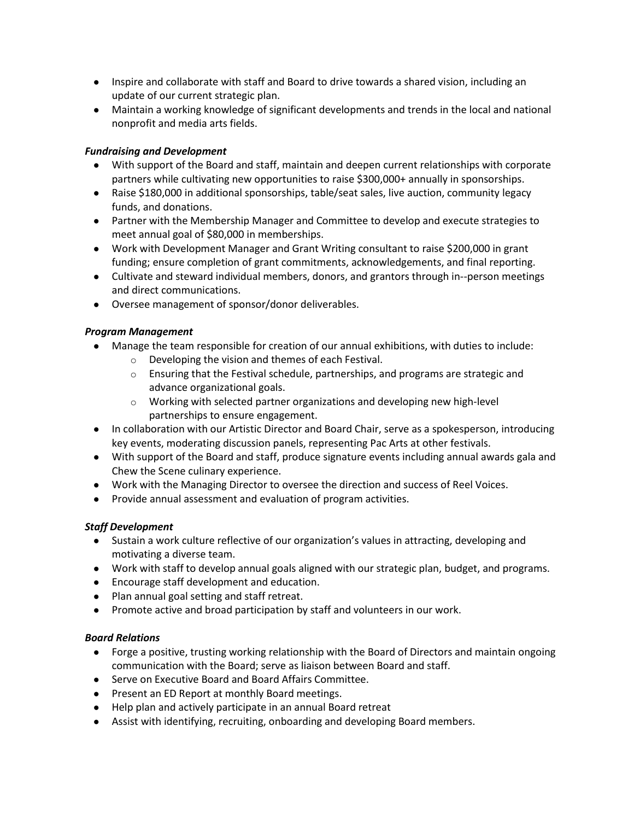- Inspire and collaborate with staff and Board to drive towards a shared vision, including an update of our current strategic plan.
- Maintain a working knowledge of significant developments and trends in the local and national nonprofit and media arts fields.

# *Fundraising and Development*

- With support of the Board and staff, maintain and deepen current relationships with corporate partners while cultivating new opportunities to raise \$300,000+ annually in sponsorships.
- Raise \$180,000 in additional sponsorships, table/seat sales, live auction, community legacy funds, and donations.
- Partner with the Membership Manager and Committee to develop and execute strategies to meet annual goal of \$80,000 in memberships.
- Work with Development Manager and Grant Writing consultant to raise \$200,000 in grant funding; ensure completion of grant commitments, acknowledgements, and final reporting.
- Cultivate and steward individual members, donors, and grantors through in--person meetings and direct communications.
- Oversee management of sponsor/donor deliverables.

## *Program Management*

- Manage the team responsible for creation of our annual exhibitions, with duties to include:
	- o Developing the vision and themes of each Festival.
	- $\circ$  Ensuring that the Festival schedule, partnerships, and programs are strategic and advance organizational goals.
	- $\circ$  Working with selected partner organizations and developing new high-level partnerships to ensure engagement.
- In collaboration with our Artistic Director and Board Chair, serve as a spokesperson, introducing key events, moderating discussion panels, representing Pac Arts at other festivals.
- With support of the Board and staff, produce signature events including annual awards gala and Chew the Scene culinary experience.
- Work with the Managing Director to oversee the direction and success of Reel Voices.
- Provide annual assessment and evaluation of program activities.

# *Staff Development*

- Sustain a work culture reflective of our organization's values in attracting, developing and motivating a diverse team.
- Work with staff to develop annual goals aligned with our strategic plan, budget, and programs.
- Encourage staff development and education.
- Plan annual goal setting and staff retreat.
- Promote active and broad participation by staff and volunteers in our work.

## *Board Relations*

- Forge a positive, trusting working relationship with the Board of Directors and maintain ongoing communication with the Board; serve as liaison between Board and staff.
- Serve on Executive Board and Board Affairs Committee.
- Present an ED Report at monthly Board meetings.
- Help plan and actively participate in an annual Board retreat
- Assist with identifying, recruiting, onboarding and developing Board members.